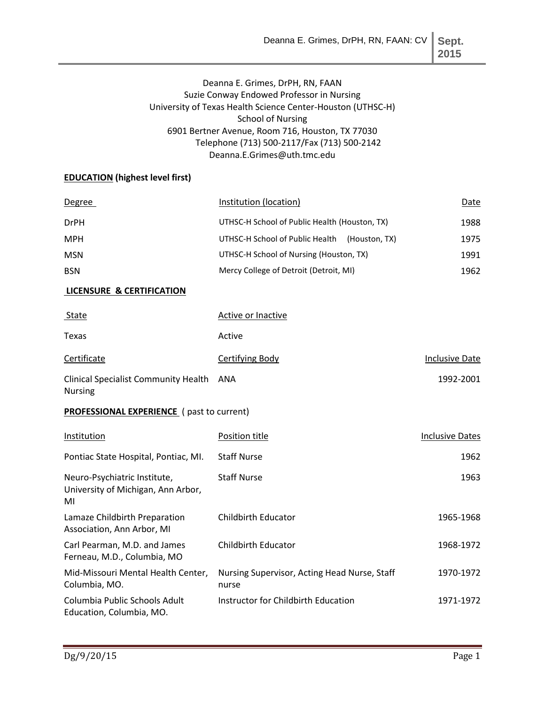**2015**

# Deanna E. Grimes, DrPH, RN, FAAN Suzie Conway Endowed Professor in Nursing University of Texas Health Science Center-Houston (UTHSC-H) School of Nursing 6901 Bertner Avenue, Room 716, Houston, TX 77030 Telephone (713) 500-2117/Fax (713) 500-2142 Deanna.E.Grimes@uth.tmc.edu

## **EDUCATION (highest level first)**

| <b>Degree</b>                                              | Institution (location)                           | Date                  |
|------------------------------------------------------------|--------------------------------------------------|-----------------------|
| <b>DrPH</b>                                                | UTHSC-H School of Public Health (Houston, TX)    | 1988                  |
| <b>MPH</b>                                                 | UTHSC-H School of Public Health<br>(Houston, TX) | 1975                  |
| <b>MSN</b>                                                 | UTHSC-H School of Nursing (Houston, TX)          | 1991                  |
| <b>BSN</b>                                                 | Mercy College of Detroit (Detroit, MI)           | 1962                  |
| <b>LICENSURE &amp; CERTIFICATION</b>                       |                                                  |                       |
| <b>State</b>                                               | Active or Inactive                               |                       |
| Texas                                                      | Active                                           |                       |
| Certificate                                                | Certifying Body                                  | <b>Inclusive Date</b> |
| Clinical Specialist Community Health ANA<br><b>Nursing</b> |                                                  | 1992-2001             |

## **PROFESSIONAL EXPERIENCE** ( past to current)

| Institution                                                              | Position title                                        | <b>Inclusive Dates</b> |
|--------------------------------------------------------------------------|-------------------------------------------------------|------------------------|
| Pontiac State Hospital, Pontiac, MI.                                     | <b>Staff Nurse</b>                                    | 1962                   |
| Neuro-Psychiatric Institute,<br>University of Michigan, Ann Arbor,<br>MI | <b>Staff Nurse</b>                                    | 1963                   |
| Lamaze Childbirth Preparation<br>Association, Ann Arbor, MI              | Childbirth Educator                                   | 1965-1968              |
| Carl Pearman, M.D. and James<br>Ferneau, M.D., Columbia, MO              | <b>Childbirth Educator</b>                            | 1968-1972              |
| Mid-Missouri Mental Health Center,<br>Columbia, MO.                      | Nursing Supervisor, Acting Head Nurse, Staff<br>nurse | 1970-1972              |
| Columbia Public Schools Adult<br>Education, Columbia, MO.                | Instructor for Childbirth Education                   | 1971-1972              |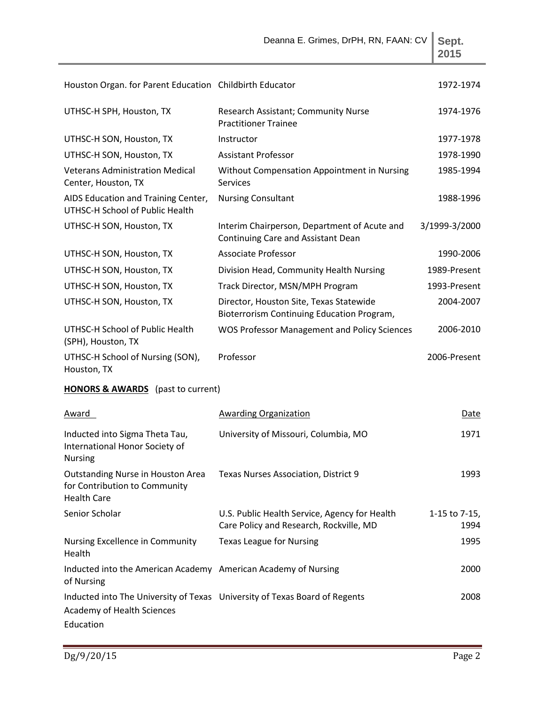|                                                                                          | Deanna E. Grimes, DrPH, RN, FAAN: CV                                                     | Sept.<br>2015         |
|------------------------------------------------------------------------------------------|------------------------------------------------------------------------------------------|-----------------------|
| Houston Organ. for Parent Education Childbirth Educator                                  |                                                                                          | 1972-1974             |
| UTHSC-H SPH, Houston, TX                                                                 | Research Assistant; Community Nurse<br><b>Practitioner Trainee</b>                       | 1974-1976             |
| UTHSC-H SON, Houston, TX                                                                 | Instructor                                                                               | 1977-1978             |
| UTHSC-H SON, Houston, TX                                                                 | <b>Assistant Professor</b>                                                               | 1978-1990             |
| <b>Veterans Administration Medical</b><br>Center, Houston, TX                            | Without Compensation Appointment in Nursing<br><b>Services</b>                           | 1985-1994             |
| AIDS Education and Training Center,<br>UTHSC-H School of Public Health                   | <b>Nursing Consultant</b>                                                                | 1988-1996             |
| UTHSC-H SON, Houston, TX                                                                 | Interim Chairperson, Department of Acute and<br>Continuing Care and Assistant Dean       | 3/1999-3/2000         |
| UTHSC-H SON, Houston, TX                                                                 | Associate Professor                                                                      | 1990-2006             |
| UTHSC-H SON, Houston, TX                                                                 | Division Head, Community Health Nursing                                                  | 1989-Present          |
| UTHSC-H SON, Houston, TX                                                                 | Track Director, MSN/MPH Program                                                          | 1993-Present          |
| UTHSC-H SON, Houston, TX                                                                 | Director, Houston Site, Texas Statewide<br>Bioterrorism Continuing Education Program,    | 2004-2007             |
| UTHSC-H School of Public Health<br>(SPH), Houston, TX                                    | <b>WOS Professor Management and Policy Sciences</b>                                      | 2006-2010             |
| UTHSC-H School of Nursing (SON),<br>Houston, TX                                          | Professor                                                                                | 2006-Present          |
| <b>HONORS &amp; AWARDS</b> (past to current)                                             |                                                                                          |                       |
| <b>Award</b>                                                                             | Awarding Organization                                                                    | Date                  |
| Inducted into Sigma Theta Tau,<br>International Honor Society of<br><b>Nursing</b>       | University of Missouri, Columbia, MO                                                     | 1971                  |
| Outstanding Nurse in Houston Area<br>for Contribution to Community<br><b>Health Care</b> | Texas Nurses Association, District 9                                                     | 1993                  |
| Senior Scholar                                                                           | U.S. Public Health Service, Agency for Health<br>Care Policy and Research, Rockville, MD | 1-15 to 7-15,<br>1994 |
| Nursing Excellence in Community<br>Health                                                | <b>Texas League for Nursing</b>                                                          | 1995                  |
| Inducted into the American Academy American Academy of Nursing<br>of Nursing             |                                                                                          | 2000                  |
| Academy of Health Sciences<br>Education                                                  | Inducted into The University of Texas University of Texas Board of Regents               | 2008                  |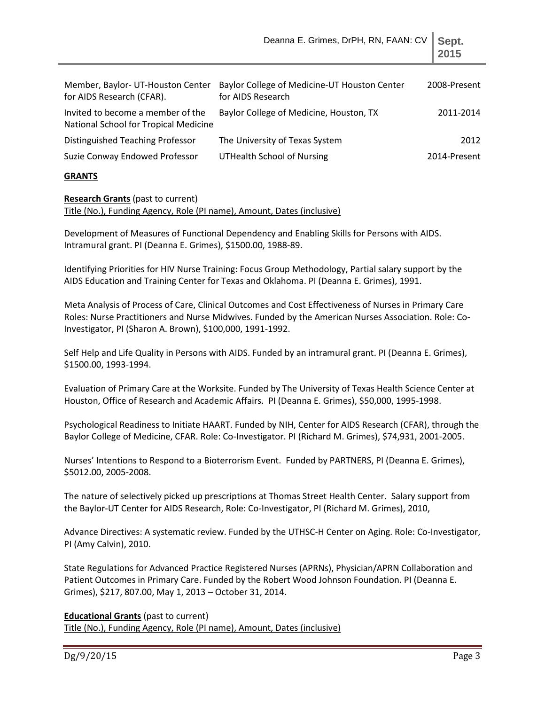| Member, Baylor- UT-Houston Center<br>for AIDS Research (CFAR).             | Baylor College of Medicine-UT Houston Center<br>for AIDS Research | 2008-Present |
|----------------------------------------------------------------------------|-------------------------------------------------------------------|--------------|
| Invited to become a member of the<br>National School for Tropical Medicine | Baylor College of Medicine, Houston, TX                           | 2011-2014    |
| Distinguished Teaching Professor                                           | The University of Texas System                                    | 2012         |
| Suzie Conway Endowed Professor                                             | <b>UTHealth School of Nursing</b>                                 | 2014-Present |

#### **GRANTS**

#### **Research Grants** (past to current) Title (No.), Funding Agency, Role (PI name), Amount, Dates (inclusive)

Development of Measures of Functional Dependency and Enabling Skills for Persons with AIDS. Intramural grant. PI (Deanna E. Grimes), \$1500.00, 1988-89.

Identifying Priorities for HIV Nurse Training: Focus Group Methodology, Partial salary support by the AIDS Education and Training Center for Texas and Oklahoma. PI (Deanna E. Grimes), 1991.

Meta Analysis of Process of Care, Clinical Outcomes and Cost Effectiveness of Nurses in Primary Care Roles: Nurse Practitioners and Nurse Midwives. Funded by the American Nurses Association. Role: Co-Investigator, PI (Sharon A. Brown), \$100,000, 1991-1992.

Self Help and Life Quality in Persons with AIDS. Funded by an intramural grant. PI (Deanna E. Grimes), \$1500.00, 1993-1994.

Evaluation of Primary Care at the Worksite. Funded by The University of Texas Health Science Center at Houston, Office of Research and Academic Affairs. PI (Deanna E. Grimes), \$50,000, 1995-1998.

Psychological Readiness to Initiate HAART. Funded by NIH, Center for AIDS Research (CFAR), through the Baylor College of Medicine, CFAR. Role: Co-Investigator. PI (Richard M. Grimes), \$74,931, 2001-2005.

Nurses' Intentions to Respond to a Bioterrorism Event. Funded by PARTNERS, PI (Deanna E. Grimes), \$5012.00, 2005-2008.

The nature of selectively picked up prescriptions at Thomas Street Health Center. Salary support from the Baylor-UT Center for AIDS Research, Role: Co-Investigator, PI (Richard M. Grimes), 2010,

Advance Directives: A systematic review. Funded by the UTHSC-H Center on Aging. Role: Co-Investigator, PI (Amy Calvin), 2010.

State Regulations for Advanced Practice Registered Nurses (APRNs), Physician/APRN Collaboration and Patient Outcomes in Primary Care. Funded by the Robert Wood Johnson Foundation. PI (Deanna E. Grimes), \$217, 807.00, May 1, 2013 – October 31, 2014.

## **Educational Grants** (past to current)

Title (No.), Funding Agency, Role (PI name), Amount, Dates (inclusive)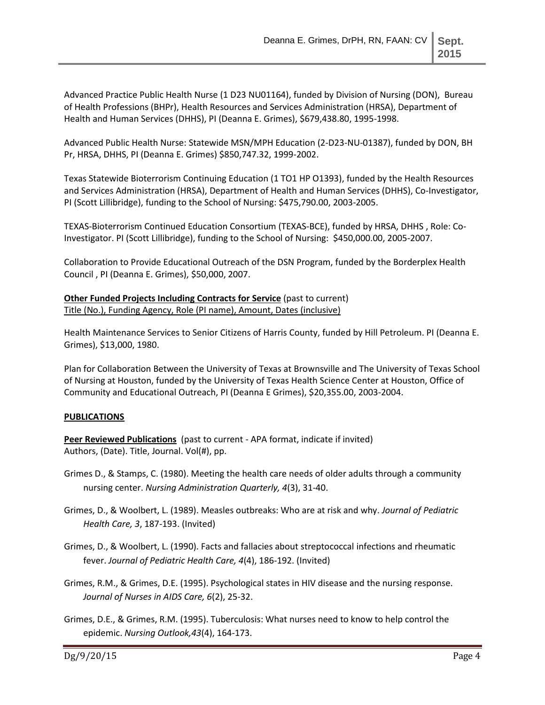Advanced Practice Public Health Nurse (1 D23 NU01164), funded by Division of Nursing (DON), Bureau of Health Professions (BHPr), Health Resources and Services Administration (HRSA), Department of Health and Human Services (DHHS), PI (Deanna E. Grimes), \$679,438.80, 1995-1998.

Advanced Public Health Nurse: Statewide MSN/MPH Education (2-D23-NU-01387), funded by DON, BH Pr, HRSA, DHHS, PI (Deanna E. Grimes) \$850,747.32, 1999-2002.

Texas Statewide Bioterrorism Continuing Education (1 TO1 HP O1393), funded by the Health Resources and Services Administration (HRSA), Department of Health and Human Services (DHHS), Co-Investigator, PI (Scott Lillibridge), funding to the School of Nursing: \$475,790.00, 2003-2005.

TEXAS-Bioterrorism Continued Education Consortium (TEXAS-BCE), funded by HRSA, DHHS , Role: Co-Investigator. PI (Scott Lillibridge), funding to the School of Nursing: \$450,000.00, 2005-2007.

Collaboration to Provide Educational Outreach of the DSN Program, funded by the Borderplex Health Council , PI (Deanna E. Grimes), \$50,000, 2007.

**Other Funded Projects Including Contracts for Service** (past to current) Title (No.), Funding Agency, Role (PI name), Amount, Dates (inclusive)

Health Maintenance Services to Senior Citizens of Harris County, funded by Hill Petroleum. PI (Deanna E. Grimes), \$13,000, 1980.

Plan for Collaboration Between the University of Texas at Brownsville and The University of Texas School of Nursing at Houston, funded by the University of Texas Health Science Center at Houston, Office of Community and Educational Outreach, PI (Deanna E Grimes), \$20,355.00, 2003-2004.

## **PUBLICATIONS**

**Peer Reviewed Publications** (past to current - APA format, indicate if invited) Authors, (Date). Title, Journal. Vol(#), pp.

- Grimes D., & Stamps, C. (1980). Meeting the health care needs of older adults through a community nursing center. *Nursing Administration Quarterly, 4*(3), 31-40.
- Grimes, D., & Woolbert, L. (1989). Measles outbreaks: Who are at risk and why. *Journal of Pediatric Health Care, 3*, 187-193. (Invited)
- Grimes, D., & Woolbert, L. (1990). Facts and fallacies about streptococcal infections and rheumatic fever. *Journal of Pediatric Health Care, 4*(4), 186-192. (Invited)
- Grimes, R.M., & Grimes, D.E. (1995). Psychological states in HIV disease and the nursing response. *Journal of Nurses in AIDS Care, 6*(2), 25-32.
- Grimes, D.E., & Grimes, R.M. (1995). Tuberculosis: What nurses need to know to help control the epidemic. *Nursing Outlook,43*(4), 164-173.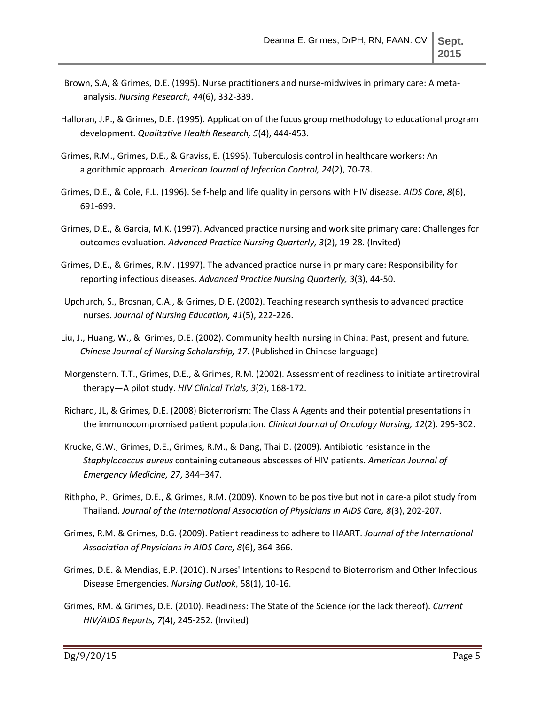- Brown, S.A, & Grimes, D.E. (1995). Nurse practitioners and nurse-midwives in primary care: A metaanalysis. *Nursing Research, 44*(6), 332-339.
- Halloran, J.P., & Grimes, D.E. (1995). Application of the focus group methodology to educational program development. *Qualitative Health Research, 5*(4), 444-453.
- Grimes, R.M., Grimes, D.E., & Graviss, E. (1996). Tuberculosis control in healthcare workers: An algorithmic approach. *American Journal of Infection Control, 24*(2), 70-78.
- Grimes, D.E., & Cole, F.L. (1996). Self-help and life quality in persons with HIV disease. *AIDS Care, 8*(6), 691-699.
- Grimes, D.E., & Garcia, M.K. (1997). Advanced practice nursing and work site primary care: Challenges for outcomes evaluation. *Advanced Practice Nursing Quarterly, 3*(2), 19-28. (Invited)
- Grimes, D.E., & Grimes, R.M. (1997). The advanced practice nurse in primary care: Responsibility for reporting infectious diseases. *Advanced Practice Nursing Quarterly, 3*(3), 44-50.
- Upchurch, S., Brosnan, C.A., & Grimes, D.E. (2002). Teaching research synthesis to advanced practice nurses. *Journal of Nursing Education, 41*(5), 222-226.
- Liu, J., Huang, W., & Grimes, D.E. (2002). Community health nursing in China: Past, present and future. *Chinese Journal of Nursing Scholarship, 17*. (Published in Chinese language)
- Morgenstern, T.T., Grimes, D.E., & Grimes, R.M. (2002). Assessment of readiness to initiate antiretroviral therapy—A pilot study. *HIV Clinical Trials, 3*(2), 168-172.
- Richard, JL, & Grimes, D.E. (2008) Bioterrorism: The Class A Agents and their potential presentations in the immunocompromised patient population. *Clinical Journal of Oncology Nursing, 12*(2). 295-302.
- Krucke, G.W., Grimes, D.E., Grimes, R.M., & Dang, Thai D. (2009). Antibiotic resistance in the *Staphylococcus aureus* containing cutaneous abscesses of HIV patients. *American Journal of Emergency Medicine, 27*, 344–347.
- Rithpho, P., Grimes, D.E., & Grimes, R.M. (2009). Known to be positive but not in care-a pilot study from Thailand. *Journal of the International Association of Physicians in AIDS Care, 8*(3), 202-207*.*
- Grimes, R.M. & Grimes, D.G. (2009). Patient readiness to adhere to HAART. *Journal of the International Association of Physicians in AIDS Care, 8*(6), 364-366.
- Grimes, D.E**.** & Mendias, E.P. (2010). Nurses' Intentions to Respond to Bioterrorism and Other Infectious Disease Emergencies. *Nursing Outlook*, 58(1), 10-16.
- Grimes, RM. & Grimes, D.E. (2010). Readiness: The State of the Science (or the lack thereof). *Current HIV/AIDS Reports, 7*(4), 245-252. (Invited)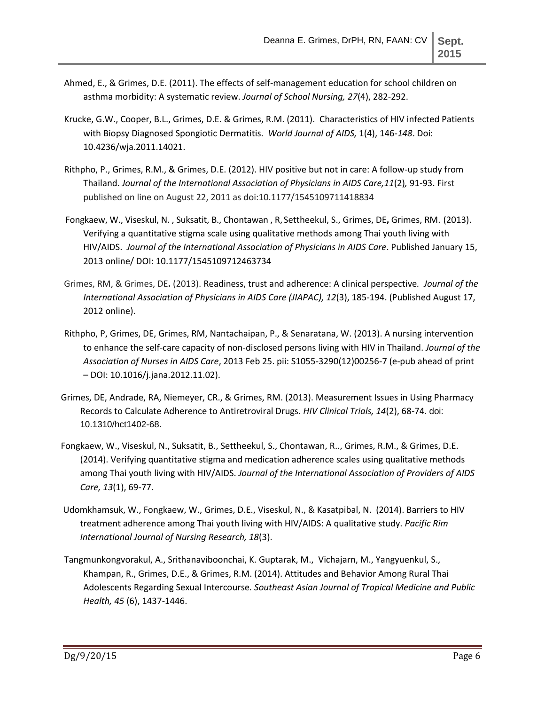- Ahmed, E., & Grimes, D.E. (2011). The effects of self-management education for school children on asthma morbidity: A systematic review. *Journal of School Nursing, 27*(4), 282-292.
- Krucke, G.W., Cooper, B.L., Grimes, D.E. & Grimes, R.M. (2011). Characteristics of HIV infected Patients with Biopsy Diagnosed Spongiotic Dermatitis. *World Journal of AIDS,* 1(4), 146*-148*. Doi: 10.4236/wja.2011.14021.
- Rithpho, P., Grimes, R.M., & Grimes, D.E. (2012). HIV positive but not in care: A follow-up study from Thailand. *Journal of the International Association of Physicians in AIDS Care,11*(2)*,* 91-93. First published on line on August 22, 2011 as doi:10.1177/1545109711418834
- Fongkaew, W., Viseskul, N. , Suksatit, B., Chontawan , R, Settheekul, S., Grimes, DE**,** Grimes, RM. (2013). Verifying a quantitative stigma scale using qualitative methods among Thai youth living with HIV/AIDS. *Journal of the International Association of Physicians in AIDS Care*. Published January 15, 2013 online/ DOI: 10.1177/1545109712463734
- Grimes, RM, & Grimes, DE**.** (2013). Readiness, trust and adherence: A clinical perspective*. Journal of the International Association of Physicians in AIDS Care (JIAPAC), 12*(3), 185-194. (Published August 17, 2012 online).
- Rithpho, P, Grimes, DE, Grimes, RM, Nantachaipan, P., & Senaratana, W. (2013). A nursing intervention to enhance the self-care capacity of non-disclosed persons living with HIV in Thailand. *Journal of the Association of Nurses in AIDS Care*, 2013 Feb 25. pii: S1055-3290(12)00256-7 (e-pub ahead of print – DOI: 10.1016/j.jana.2012.11.02).
- Grimes, DE, Andrade, RA, Niemeyer, CR., & Grimes, RM. (2013). Measurement Issues in Using Pharmacy Records to Calculate Adherence to Antiretroviral Drugs. *HIV Clinical Trials, 14*(2), 68-74*.* doi: 10.1310/hct1402-68.
- Fongkaew, W., Viseskul, N., Suksatit, B., Settheekul, S., Chontawan, R.., Grimes, R.M., & Grimes, D.E. (2014). Verifying quantitative stigma and medication adherence scales using qualitative methods among Thai youth living with HIV/AIDS. *Journal of the International Association of Providers of AIDS Care, 13*(1), 69-77.
- Udomkhamsuk, W., Fongkaew, W., Grimes, D.E., Viseskul, N., & Kasatpibal, N. (2014). Barriers to HIV treatment adherence among Thai youth living with HIV/AIDS: A qualitative study. *Pacific Rim International Journal of Nursing Research, 18*(3).
- Tangmunkongvorakul, A., Srithanaviboonchai, K. Guptarak, M., Vichajarn, M., Yangyuenkul, S., Khampan, R., Grimes, D.E., & Grimes, R.M. (2014). Attitudes and Behavior Among Rural Thai Adolescents Regarding Sexual Intercourse*. Southeast Asian Journal of Tropical Medicine and Public Health, 45* (6), 1437-1446.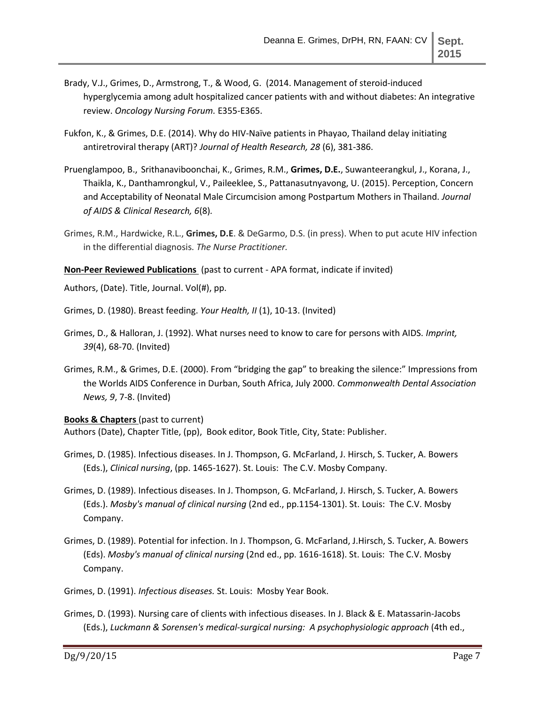- Brady, V.J., Grimes, D., Armstrong, T., & Wood, G. (2014. Management of steroid-induced hyperglycemia among adult hospitalized cancer patients with and without diabetes: An integrative review. *Oncology Nursing Forum.* E355-E365.
- Fukfon, K., & Grimes, D.E. (2014). Why do HIV-Naïve patients in Phayao, Thailand delay initiating antiretroviral therapy (ART)? *Journal of Health Research, 28* (6), 381-386.
- Pruenglampoo, B., Srithanaviboonchai, K., Grimes, R.M., **Grimes, D.E.**, Suwanteerangkul, J., Korana, J., Thaikla, K., Danthamrongkul, V., Paileeklee, S., Pattanasutnyavong, U. (2015). Perception, Concern and Acceptability of Neonatal Male Circumcision among Postpartum Mothers in Thailand. *Journal of AIDS & Clinical Research, 6*(8)*.*
- Grimes, R.M., Hardwicke, R.L., **Grimes, D.E**. & DeGarmo, D.S. (in press). When to put acute HIV infection in the differential diagnosis. *The Nurse Practitioner.*

**Non-Peer Reviewed Publications** (past to current - APA format, indicate if invited)

Authors, (Date). Title, Journal. Vol(#), pp.

Grimes, D. (1980). Breast feeding. *Your Health, II* (1), 10-13. (Invited)

- Grimes, D., & Halloran, J. (1992). What nurses need to know to care for persons with AIDS. *Imprint, 39*(4), 68-70. (Invited)
- Grimes, R.M., & Grimes, D.E. (2000). From "bridging the gap" to breaking the silence:" Impressions from the Worlds AIDS Conference in Durban, South Africa, July 2000. *Commonwealth Dental Association News, 9*, 7-8. (Invited)

#### **Books & Chapters** (past to current)

Authors (Date), Chapter Title, (pp), Book editor, Book Title, City, State: Publisher.

- Grimes, D. (1985). Infectious diseases. In J. Thompson, G. McFarland, J. Hirsch, S. Tucker, A. Bowers (Eds.), *Clinical nursing*, (pp. 1465-1627). St. Louis: The C.V. Mosby Company.
- Grimes, D. (1989). Infectious diseases. In J. Thompson, G. McFarland, J. Hirsch, S. Tucker, A. Bowers (Eds.). *Mosby's manual of clinical nursing* (2nd ed., pp.1154-1301). St. Louis: The C.V. Mosby Company.
- Grimes, D. (1989). Potential for infection. In J. Thompson, G. McFarland, J.Hirsch, S. Tucker, A. Bowers (Eds). *Mosby's manual of clinical nursing* (2nd ed., pp. 1616-1618). St. Louis: The C.V. Mosby Company.
- Grimes, D. (1991). *Infectious diseases.* St. Louis: Mosby Year Book.
- Grimes, D. (1993). Nursing care of clients with infectious diseases. In J. Black & E. Matassarin-Jacobs (Eds.), *Luckmann & Sorensen's medical-surgical nursing: A psychophysiologic approach* (4th ed.,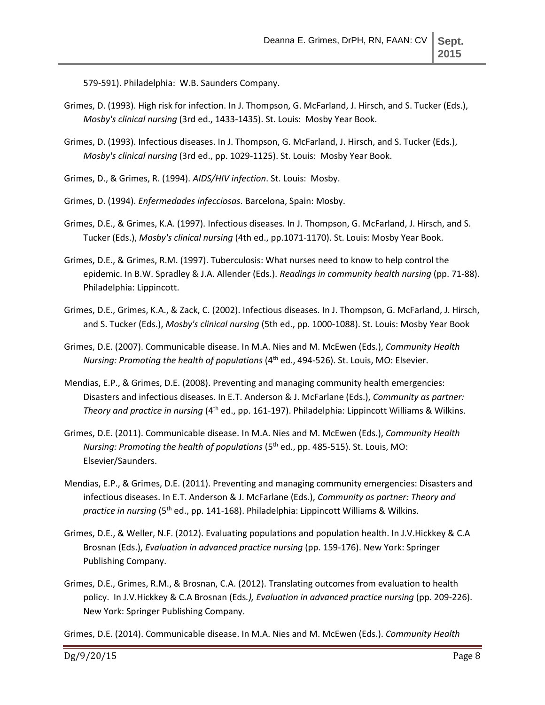579-591). Philadelphia: W.B. Saunders Company.

- Grimes, D. (1993). High risk for infection. In J. Thompson, G. McFarland, J. Hirsch, and S. Tucker (Eds.), *Mosby's clinical nursing* (3rd ed., 1433-1435). St. Louis: Mosby Year Book.
- Grimes, D. (1993). Infectious diseases. In J. Thompson, G. McFarland, J. Hirsch, and S. Tucker (Eds.), *Mosby's clinical nursing* (3rd ed., pp. 1029-1125). St. Louis: Mosby Year Book.
- Grimes, D., & Grimes, R. (1994). *AIDS/HIV infection*. St. Louis: Mosby.
- Grimes, D. (1994). *Enfermedades infecciosas*. Barcelona, Spain: Mosby.
- Grimes, D.E., & Grimes, K.A. (1997). Infectious diseases. In J. Thompson, G. McFarland, J. Hirsch, and S. Tucker (Eds.), *Mosby's clinical nursing* (4th ed., pp.1071-1170). St. Louis: Mosby Year Book.
- Grimes, D.E., & Grimes, R.M. (1997). Tuberculosis: What nurses need to know to help control the epidemic. In B.W. Spradley & J.A. Allender (Eds.). *Readings in community health nursing* (pp. 71-88). Philadelphia: Lippincott.
- Grimes, D.E., Grimes, K.A., & Zack, C. (2002). Infectious diseases. In J. Thompson, G. McFarland, J. Hirsch, and S. Tucker (Eds.), *Mosby's clinical nursing* (5th ed., pp. 1000-1088). St. Louis: Mosby Year Book
- Grimes, D.E. (2007). Communicable disease. In M.A. Nies and M. McEwen (Eds.), *Community Health Nursing: Promoting the health of populations* (4<sup>th</sup> ed., 494-526). St. Louis, MO: Elsevier.
- Mendias, E.P., & Grimes, D.E. (2008). Preventing and managing community health emergencies: Disasters and infectious diseases. In E.T. Anderson & J. McFarlane (Eds.), *Community as partner: Theory and practice in nursing* (4<sup>th</sup> ed., pp. 161-197). Philadelphia: Lippincott Williams & Wilkins.
- Grimes, D.E. (2011). Communicable disease. In M.A. Nies and M. McEwen (Eds.), *Community Health Nursing: Promoting the health of populations* (5<sup>th</sup> ed., pp. 485-515). St. Louis, MO: Elsevier/Saunders.
- Mendias, E.P., & Grimes, D.E. (2011). Preventing and managing community emergencies: Disasters and infectious diseases. In E.T. Anderson & J. McFarlane (Eds.), *Community as partner: Theory and practice in nursing* (5th ed., pp. 141-168). Philadelphia: Lippincott Williams & Wilkins.
- Grimes, D.E., & Weller, N.F. (2012). Evaluating populations and population health. In J.V.Hickkey & C.A Brosnan (Eds.), *Evaluation in advanced practice nursing* (pp. 159-176). New York: Springer Publishing Company.
- Grimes, D.E., Grimes, R.M., & Brosnan, C.A. (2012). Translating outcomes from evaluation to health policy. In J.V.Hickkey & C.A Brosnan (Eds*.), Evaluation in advanced practice nursing* (pp. 209-226). New York: Springer Publishing Company.

Grimes, D.E. (2014). Communicable disease. In M.A. Nies and M. McEwen (Eds.). *Community Health*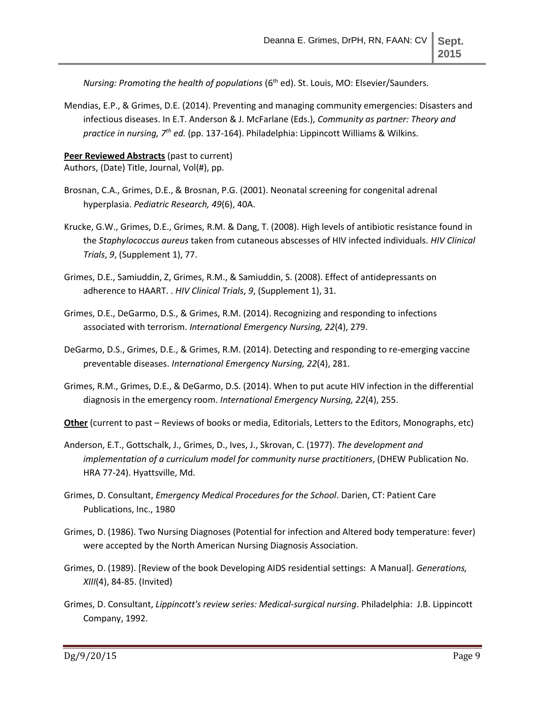*Nursing: Promoting the health of populations* (6<sup>th</sup> ed). St. Louis, MO: Elsevier/Saunders.

Mendias, E.P., & Grimes, D.E. (2014). Preventing and managing community emergencies: Disasters and infectious diseases. In E.T. Anderson & J. McFarlane (Eds.), *Community as partner: Theory and practice in nursing, 7th ed.* (pp. 137-164). Philadelphia: Lippincott Williams & Wilkins.

## **Peer Reviewed Abstracts** (past to current)

Authors, (Date) Title, Journal, Vol(#), pp.

- Brosnan, C.A., Grimes, D.E., & Brosnan, P.G. (2001). Neonatal screening for congenital adrenal hyperplasia. *Pediatric Research, 49*(6), 40A.
- Krucke, G.W., Grimes, D.E., Grimes, R.M. & Dang, T. (2008). High levels of antibiotic resistance found in the *Staphylococcus aureus* taken from cutaneous abscesses of HIV infected individuals. *HIV Clinical Trials*, *9*, (Supplement 1), 77.
- Grimes, D.E., Samiuddin, Z, Grimes, R.M., & Samiuddin, S. (2008). Effect of antidepressants on adherence to HAART. . *HIV Clinical Trials*, *9*, (Supplement 1), 31.
- Grimes, D.E., DeGarmo, D.S., & Grimes, R.M. (2014). Recognizing and responding to infections associated with terrorism. *International Emergency Nursing, 22*(4), 279.
- DeGarmo, D.S., Grimes, D.E., & Grimes, R.M. (2014). Detecting and responding to re-emerging vaccine preventable diseases. *International Emergency Nursing, 22*(4), 281.
- Grimes, R.M., Grimes, D.E., & DeGarmo, D.S. (2014). When to put acute HIV infection in the differential diagnosis in the emergency room. *International Emergency Nursing, 22*(4), 255.
- **Other** (current to past Reviews of books or media, Editorials, Letters to the Editors, Monographs, etc)
- Anderson, E.T., Gottschalk, J., Grimes, D., Ives, J., Skrovan, C. (1977). *The development and implementation of a curriculum model for community nurse practitioners*, (DHEW Publication No. HRA 77-24). Hyattsville, Md.
- Grimes, D. Consultant, *Emergency Medical Procedures for the School*. Darien, CT: Patient Care Publications, Inc., 1980
- Grimes, D. (1986). Two Nursing Diagnoses (Potential for infection and Altered body temperature: fever) were accepted by the North American Nursing Diagnosis Association.
- Grimes, D. (1989). [Review of the book Developing AIDS residential settings: A Manual]. *Generations, XIII*(4), 84-85. (Invited)
- Grimes, D. Consultant, *Lippincott's review series: Medical-surgical nursing*. Philadelphia: J.B. Lippincott Company, 1992.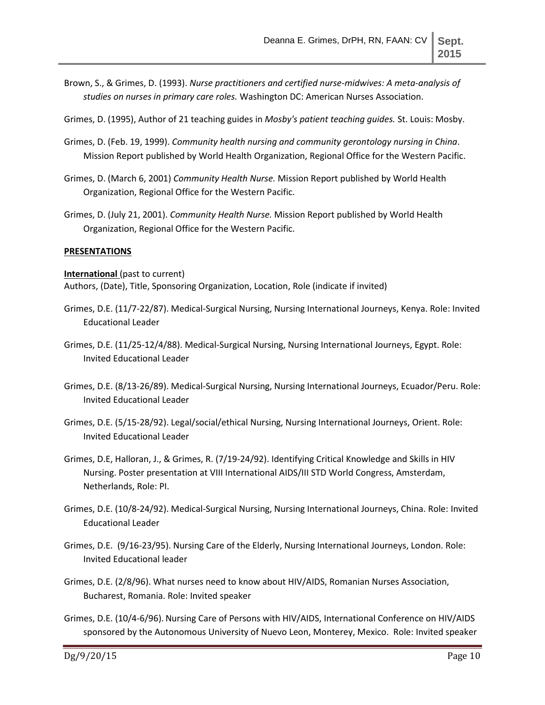Brown, S., & Grimes, D. (1993). *Nurse practitioners and certified nurse-midwives: A meta-analysis of studies on nurses in primary care roles.* Washington DC: American Nurses Association.

Grimes, D. (1995), Author of 21 teaching guides in *Mosby's patient teaching guides.* St. Louis: Mosby.

- Grimes, D. (Feb. 19, 1999). *Community health nursing and community gerontology nursing in China*. Mission Report published by World Health Organization, Regional Office for the Western Pacific.
- Grimes, D. (March 6, 2001) *Community Health Nurse.* Mission Report published by World Health Organization, Regional Office for the Western Pacific.
- Grimes, D. (July 21, 2001). *Community Health Nurse.* Mission Report published by World Health Organization, Regional Office for the Western Pacific.

#### **PRESENTATIONS**

**International** (past to current)

Authors, (Date), Title, Sponsoring Organization, Location, Role (indicate if invited)

- Grimes, D.E. (11/7-22/87). Medical-Surgical Nursing, Nursing International Journeys, Kenya. Role: Invited Educational Leader
- Grimes, D.E. (11/25-12/4/88). Medical-Surgical Nursing, Nursing International Journeys, Egypt. Role: Invited Educational Leader
- Grimes, D.E. (8/13-26/89). Medical-Surgical Nursing, Nursing International Journeys, Ecuador/Peru. Role: Invited Educational Leader
- Grimes, D.E. (5/15-28/92). Legal/social/ethical Nursing, Nursing International Journeys, Orient. Role: Invited Educational Leader
- Grimes, D.E, Halloran, J., & Grimes, R. (7/19-24/92). Identifying Critical Knowledge and Skills in HIV Nursing. Poster presentation at VIII International AIDS/III STD World Congress, Amsterdam, Netherlands, Role: PI.
- Grimes, D.E. (10/8-24/92). Medical-Surgical Nursing, Nursing International Journeys, China. Role: Invited Educational Leader
- Grimes, D.E. (9/16-23/95). Nursing Care of the Elderly, Nursing International Journeys, London. Role: Invited Educational leader
- Grimes, D.E. (2/8/96). What nurses need to know about HIV/AIDS, Romanian Nurses Association, Bucharest, Romania. Role: Invited speaker
- Grimes, D.E. (10/4-6/96).Nursing Care of Persons with HIV/AIDS, International Conference on HIV/AIDS sponsored by the Autonomous University of Nuevo Leon, Monterey, Mexico. Role: Invited speaker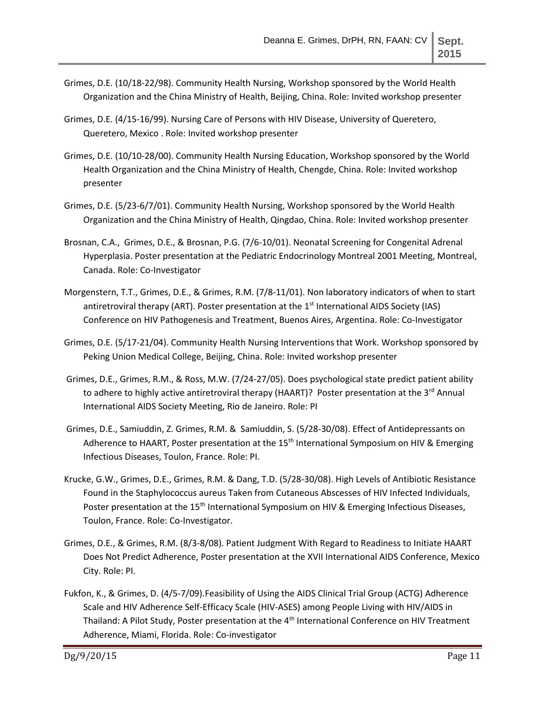- Grimes, D.E. (10/18-22/98). Community Health Nursing, Workshop sponsored by the World Health Organization and the China Ministry of Health, Beijing, China. Role: Invited workshop presenter
- Grimes, D.E. (4/15-16/99). Nursing Care of Persons with HIV Disease, University of Queretero, Queretero, Mexico . Role: Invited workshop presenter
- Grimes, D.E. (10/10-28/00). Community Health Nursing Education, Workshop sponsored by the World Health Organization and the China Ministry of Health, Chengde, China. Role: Invited workshop presenter
- Grimes, D.E. (5/23-6/7/01). Community Health Nursing, Workshop sponsored by the World Health Organization and the China Ministry of Health, Qingdao, China. Role: Invited workshop presenter
- Brosnan, C.A., Grimes, D.E., & Brosnan, P.G. (7/6-10/01). Neonatal Screening for Congenital Adrenal Hyperplasia. Poster presentation at the Pediatric Endocrinology Montreal 2001 Meeting, Montreal, Canada. Role: Co-Investigator
- Morgenstern, T.T., Grimes, D.E., & Grimes, R.M. (7/8-11/01). Non laboratory indicators of when to start antiretroviral therapy (ART). Poster presentation at the  $1<sup>st</sup>$  International AIDS Society (IAS) Conference on HIV Pathogenesis and Treatment, Buenos Aires, Argentina. Role: Co-Investigator
- Grimes, D.E. (5/17-21/04). Community Health Nursing Interventions that Work. Workshop sponsored by Peking Union Medical College, Beijing, China. Role: Invited workshop presenter
- Grimes, D.E., Grimes, R.M., & Ross, M.W. (7/24-27/05). Does psychological state predict patient ability to adhere to highly active antiretroviral therapy (HAART)? Poster presentation at the 3<sup>rd</sup> Annual International AIDS Society Meeting, Rio de Janeiro. Role: PI
- Grimes, D.E., Samiuddin, Z. Grimes, R.M. & Samiuddin, S. (5/28-30/08). Effect of Antidepressants on Adherence to HAART, Poster presentation at the  $15<sup>th</sup>$  International Symposium on HIV & Emerging Infectious Diseases, Toulon, France. Role: PI.
- Krucke, G.W., Grimes, D.E., Grimes, R.M. & Dang, T.D. (5/28-30/08). High Levels of Antibiotic Resistance Found in the Staphylococcus aureus Taken from Cutaneous Abscesses of HIV Infected Individuals, Poster presentation at the 15<sup>th</sup> International Symposium on HIV & Emerging Infectious Diseases, Toulon, France. Role: Co-Investigator.
- Grimes, D.E., & Grimes, R.M. (8/3-8/08). Patient Judgment With Regard to Readiness to Initiate HAART Does Not Predict Adherence, Poster presentation at the XVII International AIDS Conference, Mexico City. Role: PI.
- Fukfon, K., & Grimes, D. (4/5-7/09).Feasibility of Using the AIDS Clinical Trial Group (ACTG) Adherence Scale and HIV Adherence Self-Efficacy Scale (HIV-ASES) among People Living with HIV/AIDS in Thailand: A Pilot Study, Poster presentation at the 4<sup>th</sup> International Conference on HIV Treatment Adherence, Miami, Florida. Role: Co-investigator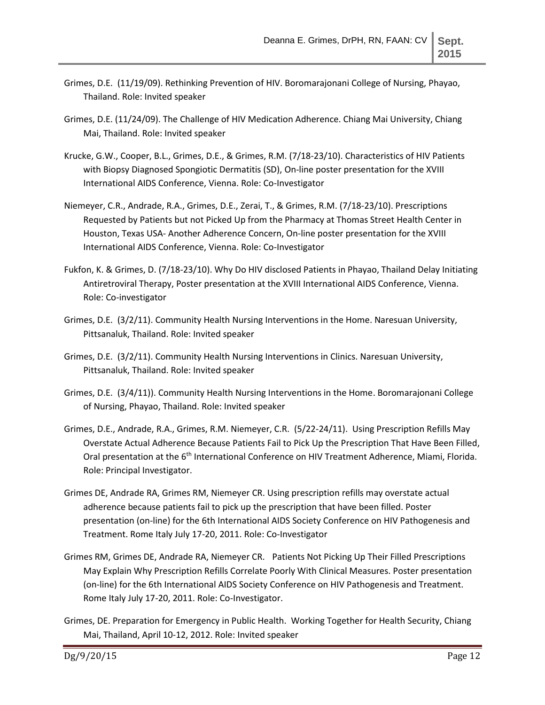- Grimes, D.E. (11/19/09). Rethinking Prevention of HIV. Boromarajonani College of Nursing, Phayao, Thailand. Role: Invited speaker
- Grimes, D.E. (11/24/09). The Challenge of HIV Medication Adherence. Chiang Mai University, Chiang Mai, Thailand. Role: Invited speaker
- Krucke, G.W., Cooper, B.L., Grimes, D.E., & Grimes, R.M. (7/18-23/10). Characteristics of HIV Patients with Biopsy Diagnosed Spongiotic Dermatitis (SD), On-line poster presentation for the XVIII International AIDS Conference, Vienna. Role: Co-Investigator
- Niemeyer, C.R., Andrade, R.A., Grimes, D.E., Zerai, T., & Grimes, R.M. (7/18-23/10). Prescriptions Requested by Patients but not Picked Up from the Pharmacy at Thomas Street Health Center in Houston, Texas USA- Another Adherence Concern, On-line poster presentation for the XVIII International AIDS Conference, Vienna. Role: Co-Investigator
- Fukfon, K. & Grimes, D. (7/18-23/10). Why Do HIV disclosed Patients in Phayao, Thailand Delay Initiating Antiretroviral Therapy, Poster presentation at the XVIII International AIDS Conference, Vienna. Role: Co-investigator
- Grimes, D.E. (3/2/11). Community Health Nursing Interventions in the Home. Naresuan University, Pittsanaluk, Thailand. Role: Invited speaker
- Grimes, D.E. (3/2/11). Community Health Nursing Interventions in Clinics. Naresuan University, Pittsanaluk, Thailand. Role: Invited speaker
- Grimes, D.E. (3/4/11)). Community Health Nursing Interventions in the Home. Boromarajonani College of Nursing, Phayao, Thailand. Role: Invited speaker
- Grimes, D.E., Andrade, R.A., Grimes, R.M. Niemeyer, C.R. (5/22-24/11). Using Prescription Refills May Overstate Actual Adherence Because Patients Fail to Pick Up the Prescription That Have Been Filled, Oral presentation at the 6<sup>th</sup> International Conference on HIV Treatment Adherence, Miami, Florida. Role: Principal Investigator.
- Grimes DE, Andrade RA, Grimes RM, Niemeyer CR. Using prescription refills may overstate actual adherence because patients fail to pick up the prescription that have been filled. Poster presentation (on-line) for the 6th International AIDS Society Conference on HIV Pathogenesis and Treatment. Rome Italy July 17-20, 2011. Role: Co-Investigator
- Grimes RM, Grimes DE, Andrade RA, Niemeyer CR. Patients Not Picking Up Their Filled Prescriptions May Explain Why Prescription Refills Correlate Poorly With Clinical Measures. Poster presentation (on-line) for the 6th International AIDS Society Conference on HIV Pathogenesis and Treatment. Rome Italy July 17-20, 2011. Role: Co-Investigator.
- Grimes, DE. Preparation for Emergency in Public Health. Working Together for Health Security, Chiang Mai, Thailand, April 10-12, 2012. Role: Invited speaker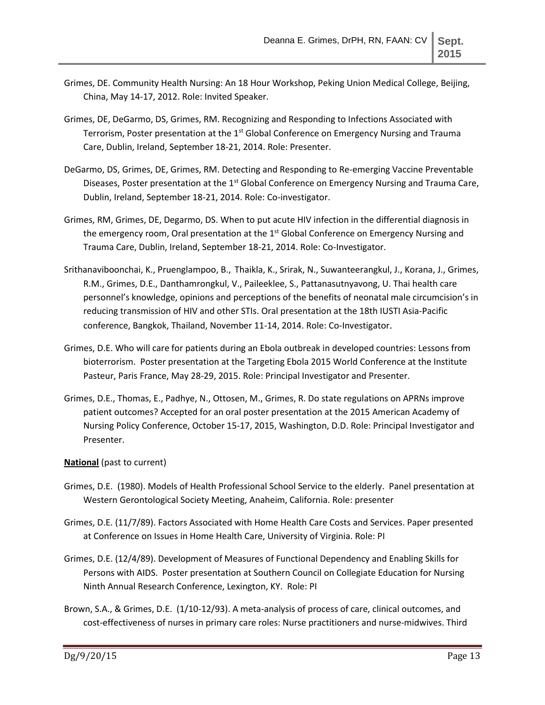- Grimes, DE. Community Health Nursing: An 18 Hour Workshop, Peking Union Medical College, Beijing, China, May 14-17, 2012. Role: Invited Speaker.
- Grimes, DE, DeGarmo, DS, Grimes, RM. Recognizing and Responding to Infections Associated with Terrorism, Poster presentation at the 1<sup>st</sup> Global Conference on Emergency Nursing and Trauma Care, Dublin, Ireland, September 18-21, 2014. Role: Presenter.
- DeGarmo, DS, Grimes, DE, Grimes, RM. Detecting and Responding to Re-emerging Vaccine Preventable Diseases, Poster presentation at the  $1<sup>st</sup>$  Global Conference on Emergency Nursing and Trauma Care, Dublin, Ireland, September 18-21, 2014. Role: Co-investigator.
- Grimes, RM, Grimes, DE, Degarmo, DS. When to put acute HIV infection in the differential diagnosis in the emergency room, Oral presentation at the  $1<sup>st</sup>$  Global Conference on Emergency Nursing and Trauma Care, Dublin, Ireland, September 18-21, 2014. Role: Co-Investigator.
- Srithanaviboonchai, K., Pruenglampoo, B., Thaikla, K., Srirak, N., Suwanteerangkul, J., Korana, J., Grimes, R.M., Grimes, D.E., Danthamrongkul, V., Paileeklee, S., Pattanasutnyavong, U. Thai health care personnel's knowledge, opinions and perceptions of the benefits of neonatal male circumcision's in reducing transmission of HIV and other STIs. Oral presentation at the 18th IUSTI Asia-Pacific conference, Bangkok, Thailand, November 11-14, 2014. Role: Co-Investigator.
- Grimes, D.E. Who will care for patients during an Ebola outbreak in developed countries: Lessons from bioterrorism. Poster presentation at the Targeting Ebola 2015 World Conference at the Institute Pasteur, Paris France, May 28-29, 2015. Role: Principal Investigator and Presenter.
- Grimes, D.E., Thomas, E., Padhye, N., Ottosen, M., Grimes, R. Do state regulations on APRNs improve patient outcomes? Accepted for an oral poster presentation at the 2015 American Academy of Nursing Policy Conference, October 15-17, 2015, Washington, D.D. Role: Principal Investigator and Presenter.

## **National** (past to current)

- Grimes, D.E. (1980). Models of Health Professional School Service to the elderly. Panel presentation at Western Gerontological Society Meeting, Anaheim, California. Role: presenter
- Grimes, D.E. (11/7/89). Factors Associated with Home Health Care Costs and Services. Paper presented at Conference on Issues in Home Health Care, University of Virginia. Role: PI
- Grimes, D.E. (12/4/89). Development of Measures of Functional Dependency and Enabling Skills for Persons with AIDS. Poster presentation at Southern Council on Collegiate Education for Nursing Ninth Annual Research Conference, Lexington, KY. Role: PI
- Brown, S.A., & Grimes, D.E. (1/10-12/93). A meta-analysis of process of care, clinical outcomes, and cost-effectiveness of nurses in primary care roles: Nurse practitioners and nurse-midwives. Third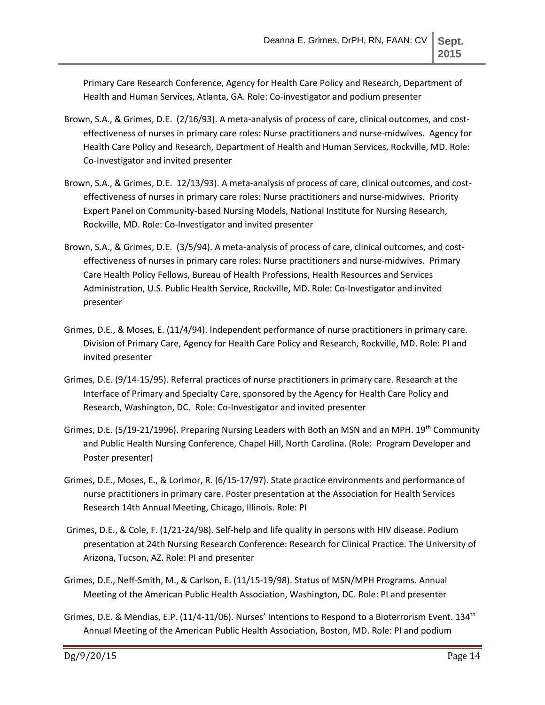Primary Care Research Conference, Agency for Health Care Policy and Research, Department of Health and Human Services, Atlanta, GA. Role: Co-investigator and podium presenter

- Brown, S.A., & Grimes, D.E. (2/16/93). A meta-analysis of process of care, clinical outcomes, and costeffectiveness of nurses in primary care roles: Nurse practitioners and nurse-midwives. Agency for Health Care Policy and Research, Department of Health and Human Services, Rockville, MD. Role: Co-Investigator and invited presenter
- Brown, S.A., & Grimes, D.E. 12/13/93). A meta-analysis of process of care, clinical outcomes, and costeffectiveness of nurses in primary care roles: Nurse practitioners and nurse-midwives. Priority Expert Panel on Community-based Nursing Models, National Institute for Nursing Research, Rockville, MD. Role: Co-Investigator and invited presenter
- Brown, S.A., & Grimes, D.E. (3/5/94). A meta-analysis of process of care, clinical outcomes, and costeffectiveness of nurses in primary care roles: Nurse practitioners and nurse-midwives. Primary Care Health Policy Fellows, Bureau of Health Professions, Health Resources and Services Administration, U.S. Public Health Service, Rockville, MD. Role: Co-Investigator and invited presenter
- Grimes, D.E., & Moses, E. (11/4/94). Independent performance of nurse practitioners in primary care. Division of Primary Care, Agency for Health Care Policy and Research, Rockville, MD. Role: PI and invited presenter
- Grimes, D.E. (9/14-15/95). Referral practices of nurse practitioners in primary care. Research at the Interface of Primary and Specialty Care, sponsored by the Agency for Health Care Policy and Research, Washington, DC. Role: Co-Investigator and invited presenter
- Grimes, D.E. (5/19-21/1996). Preparing Nursing Leaders with Both an MSN and an MPH. 19th Community and Public Health Nursing Conference, Chapel Hill, North Carolina. (Role: Program Developer and Poster presenter)
- Grimes, D.E., Moses, E., & Lorimor, R. (6/15-17/97). State practice environments and performance of nurse practitioners in primary care. Poster presentation at the Association for Health Services Research 14th Annual Meeting, Chicago, Illinois. Role: PI
- Grimes, D.E., & Cole, F. (1/21-24/98). Self-help and life quality in persons with HIV disease. Podium presentation at 24th Nursing Research Conference: Research for Clinical Practice. The University of Arizona, Tucson, AZ. Role: PI and presenter
- Grimes, D.E., Neff-Smith, M., & Carlson, E. (11/15-19/98). Status of MSN/MPH Programs. Annual Meeting of the American Public Health Association, Washington, DC. Role: PI and presenter
- Grimes, D.E. & Mendias, E.P. (11/4-11/06). Nurses' Intentions to Respond to a Bioterrorism Event. 134<sup>th</sup> Annual Meeting of the American Public Health Association, Boston, MD. Role: PI and podium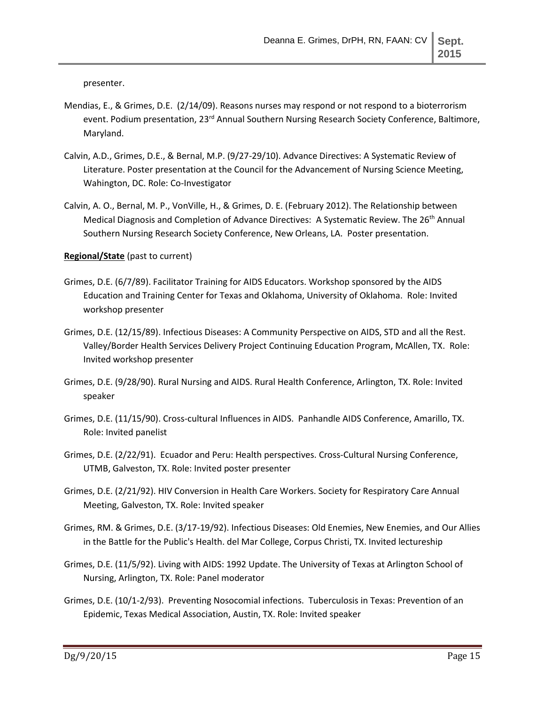presenter.

- Mendias, E., & Grimes, D.E. (2/14/09). Reasons nurses may respond or not respond to a bioterrorism event. Podium presentation, 23<sup>rd</sup> Annual Southern Nursing Research Society Conference, Baltimore, Maryland.
- Calvin, A.D., Grimes, D.E., & Bernal, M.P. (9/27-29/10). Advance Directives: A Systematic Review of Literature. Poster presentation at the Council for the Advancement of Nursing Science Meeting, Wahington, DC. Role: Co-Investigator
- Calvin, A. O., Bernal, M. P., VonVille, H., & Grimes, D. E. (February 2012). The Relationship between Medical Diagnosis and Completion of Advance Directives: A Systematic Review. The 26<sup>th</sup> Annual Southern Nursing Research Society Conference, New Orleans, LA. Poster presentation.

#### **Regional/State** (past to current)

- Grimes, D.E. (6/7/89). Facilitator Training for AIDS Educators. Workshop sponsored by the AIDS Education and Training Center for Texas and Oklahoma, University of Oklahoma. Role: Invited workshop presenter
- Grimes, D.E. (12/15/89). Infectious Diseases: A Community Perspective on AIDS, STD and all the Rest. Valley/Border Health Services Delivery Project Continuing Education Program, McAllen, TX. Role: Invited workshop presenter
- Grimes, D.E. (9/28/90). Rural Nursing and AIDS. Rural Health Conference, Arlington, TX. Role: Invited speaker
- Grimes, D.E. (11/15/90). Cross-cultural Influences in AIDS. Panhandle AIDS Conference, Amarillo, TX. Role: Invited panelist
- Grimes, D.E. (2/22/91). Ecuador and Peru: Health perspectives. Cross-Cultural Nursing Conference, UTMB, Galveston, TX. Role: Invited poster presenter
- Grimes, D.E. (2/21/92). HIV Conversion in Health Care Workers. Society for Respiratory Care Annual Meeting, Galveston, TX. Role: Invited speaker
- Grimes, RM. & Grimes, D.E. (3/17-19/92). Infectious Diseases: Old Enemies, New Enemies, and Our Allies in the Battle for the Public's Health. del Mar College, Corpus Christi, TX. Invited lectureship
- Grimes, D.E. (11/5/92). Living with AIDS: 1992 Update. The University of Texas at Arlington School of Nursing, Arlington, TX. Role: Panel moderator
- Grimes, D.E. (10/1-2/93). Preventing Nosocomial infections. Tuberculosis in Texas: Prevention of an Epidemic, Texas Medical Association, Austin, TX. Role: Invited speaker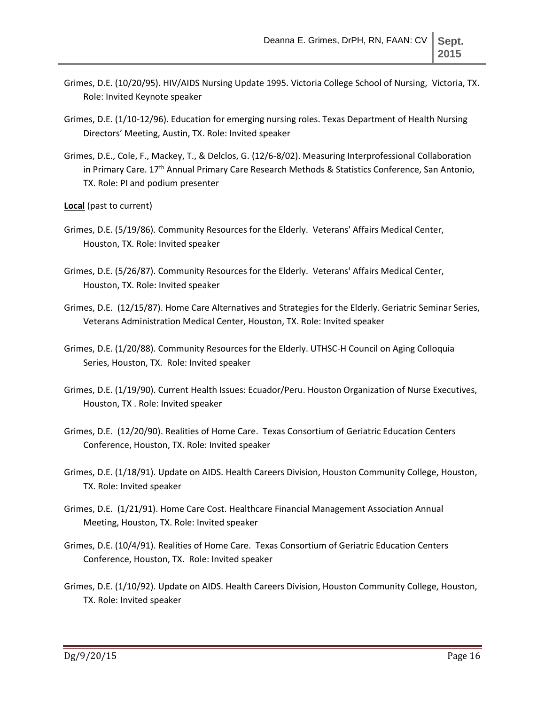- Grimes, D.E. (10/20/95). HIV/AIDS Nursing Update 1995. Victoria College School of Nursing, Victoria, TX. Role: Invited Keynote speaker
- Grimes, D.E. (1/10-12/96). Education for emerging nursing roles. Texas Department of Health Nursing Directors' Meeting, Austin, TX. Role: Invited speaker
- Grimes, D.E., Cole, F., Mackey, T., & Delclos, G. (12/6-8/02). Measuring Interprofessional Collaboration in Primary Care. 17<sup>th</sup> Annual Primary Care Research Methods & Statistics Conference, San Antonio, TX. Role: PI and podium presenter
- **Local** (past to current)
- Grimes, D.E. (5/19/86). Community Resources for the Elderly. Veterans' Affairs Medical Center, Houston, TX. Role: Invited speaker
- Grimes, D.E. (5/26/87). Community Resources for the Elderly. Veterans' Affairs Medical Center, Houston, TX. Role: Invited speaker
- Grimes, D.E. (12/15/87). Home Care Alternatives and Strategies for the Elderly. Geriatric Seminar Series, Veterans Administration Medical Center, Houston, TX. Role: Invited speaker
- Grimes, D.E. (1/20/88). Community Resources for the Elderly. UTHSC-H Council on Aging Colloquia Series, Houston, TX. Role: Invited speaker
- Grimes, D.E. (1/19/90). Current Health Issues: Ecuador/Peru. Houston Organization of Nurse Executives, Houston, TX . Role: Invited speaker
- Grimes, D.E. (12/20/90). Realities of Home Care. Texas Consortium of Geriatric Education Centers Conference, Houston, TX. Role: Invited speaker
- Grimes, D.E. (1/18/91). Update on AIDS. Health Careers Division, Houston Community College, Houston, TX. Role: Invited speaker
- Grimes, D.E. (1/21/91). Home Care Cost. Healthcare Financial Management Association Annual Meeting, Houston, TX. Role: Invited speaker
- Grimes, D.E. (10/4/91). Realities of Home Care. Texas Consortium of Geriatric Education Centers Conference, Houston, TX. Role: Invited speaker
- Grimes, D.E. (1/10/92). Update on AIDS. Health Careers Division, Houston Community College, Houston, TX. Role: Invited speaker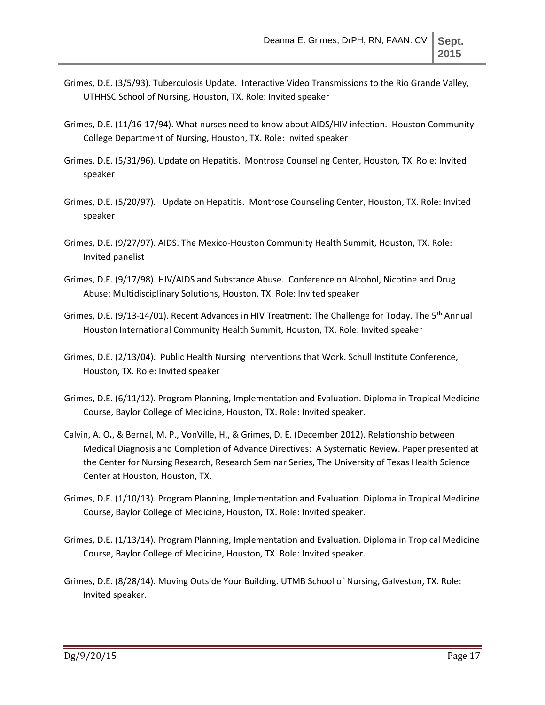- Grimes, D.E. (3/5/93). Tuberculosis Update. Interactive Video Transmissions to the Rio Grande Valley, UTHHSC School of Nursing, Houston, TX. Role: Invited speaker
- Grimes, D.E. (11/16-17/94). What nurses need to know about AIDS/HIV infection. Houston Community College Department of Nursing, Houston, TX. Role: Invited speaker
- Grimes, D.E. (5/31/96). Update on Hepatitis. Montrose Counseling Center, Houston, TX. Role: Invited speaker
- Grimes, D.E. (5/20/97). Update on Hepatitis. Montrose Counseling Center, Houston, TX. Role: Invited speaker
- Grimes, D.E. (9/27/97). AIDS. The Mexico-Houston Community Health Summit, Houston, TX. Role: Invited panelist
- Grimes, D.E. (9/17/98). HIV/AIDS and Substance Abuse. Conference on Alcohol, Nicotine and Drug Abuse: Multidisciplinary Solutions, Houston, TX. Role: Invited speaker
- Grimes, D.E. (9/13-14/01). Recent Advances in HIV Treatment: The Challenge for Today. The 5<sup>th</sup> Annual Houston International Community Health Summit, Houston, TX. Role: Invited speaker
- Grimes, D.E. (2/13/04). Public Health Nursing Interventions that Work. Schull Institute Conference, Houston, TX. Role: Invited speaker
- Grimes, D.E. (6/11/12). Program Planning, Implementation and Evaluation. Diploma in Tropical Medicine Course, Baylor College of Medicine, Houston, TX. Role: Invited speaker.
- Calvin, A. O**.**, & Bernal, M. P., VonVille, H., & Grimes, D. E. (December 2012). Relationship between Medical Diagnosis and Completion of Advance Directives: A Systematic Review. Paper presented at the Center for Nursing Research, Research Seminar Series, The University of Texas Health Science Center at Houston, Houston, TX.
- Grimes, D.E. (1/10/13). Program Planning, Implementation and Evaluation. Diploma in Tropical Medicine Course, Baylor College of Medicine, Houston, TX. Role: Invited speaker.
- Grimes, D.E. (1/13/14). Program Planning, Implementation and Evaluation. Diploma in Tropical Medicine Course, Baylor College of Medicine, Houston, TX. Role: Invited speaker.
- Grimes, D.E. (8/28/14). Moving Outside Your Building. UTMB School of Nursing, Galveston, TX. Role: Invited speaker.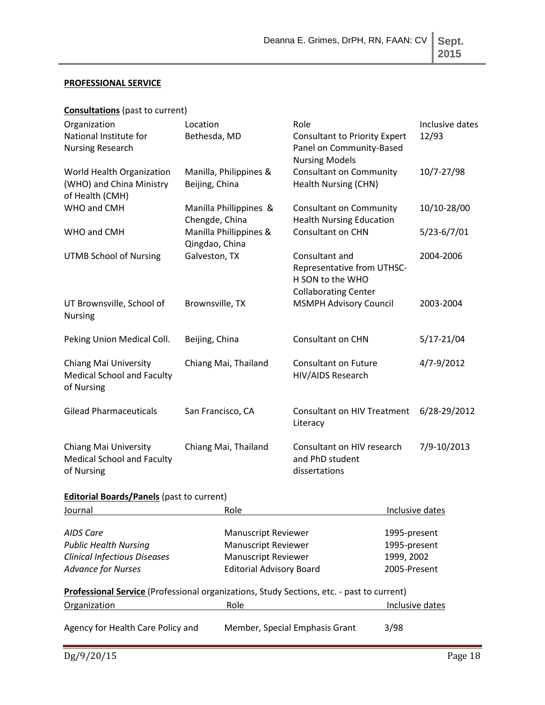# **PROFESSIONAL SERVICE**

|  | <b>Consultations</b> (past to current) |
|--|----------------------------------------|
|--|----------------------------------------|

| Organization<br>National Institute for<br><b>Nursing Research</b>        | Location<br>Bethesda, MD                 | Role<br><b>Consultant to Priority Expert</b><br>Panel on Community-Based<br><b>Nursing Models</b> | Inclusive dates<br>12/93 |
|--------------------------------------------------------------------------|------------------------------------------|---------------------------------------------------------------------------------------------------|--------------------------|
| World Health Organization<br>(WHO) and China Ministry<br>of Health (CMH) | Manilla, Philippines &<br>Beijing, China | <b>Consultant on Community</b><br>Health Nursing (CHN)                                            | 10/7-27/98               |
| WHO and CMH                                                              | Manilla Phillippines &<br>Chengde, China | <b>Consultant on Community</b><br><b>Health Nursing Education</b>                                 | 10/10-28/00              |
| WHO and CMH                                                              | Manilla Phillippines &<br>Qingdao, China | <b>Consultant on CHN</b>                                                                          | $5/23 - 6/7/01$          |
| <b>UTMB School of Nursing</b>                                            | Galveston, TX                            | Consultant and<br>Representative from UTHSC-<br>H SON to the WHO<br><b>Collaborating Center</b>   | 2004-2006                |
| UT Brownsville, School of<br><b>Nursing</b>                              | Brownsville, TX                          | <b>MSMPH Advisory Council</b>                                                                     | 2003-2004                |
| Peking Union Medical Coll.                                               | Beijing, China                           | <b>Consultant on CHN</b>                                                                          | $5/17 - 21/04$           |
| Chiang Mai University<br><b>Medical School and Faculty</b><br>of Nursing | Chiang Mai, Thailand                     | <b>Consultant on Future</b><br>HIV/AIDS Research                                                  | 4/7-9/2012               |
| <b>Gilead Pharmaceuticals</b>                                            | San Francisco, CA                        | <b>Consultant on HIV Treatment</b><br>Literacy                                                    | 6/28-29/2012             |
| Chiang Mai University<br><b>Medical School and Faculty</b><br>of Nursing | Chiang Mai, Thailand                     | Consultant on HIV research<br>and PhD student<br>dissertations                                    | 7/9-10/2013              |

# **Editorial Boards/Panels** (past to current)

| Journal                             | Role                                                                                      | Inclusive dates |
|-------------------------------------|-------------------------------------------------------------------------------------------|-----------------|
|                                     |                                                                                           |                 |
| AIDS Care                           | <b>Manuscript Reviewer</b>                                                                | 1995-present    |
| <b>Public Health Nursing</b>        | <b>Manuscript Reviewer</b>                                                                | 1995-present    |
| <b>Clinical Infectious Diseases</b> | <b>Manuscript Reviewer</b>                                                                | 1999, 2002      |
| <b>Advance for Nurses</b>           | <b>Editorial Advisory Board</b>                                                           | 2005-Present    |
|                                     | Professional Service (Professional organizations, Study Sections, etc. - past to current) |                 |
| Organization                        | Role                                                                                      | Inclusive dates |
| Agency for Health Care Policy and   | Member, Special Emphasis Grant                                                            | 3/98            |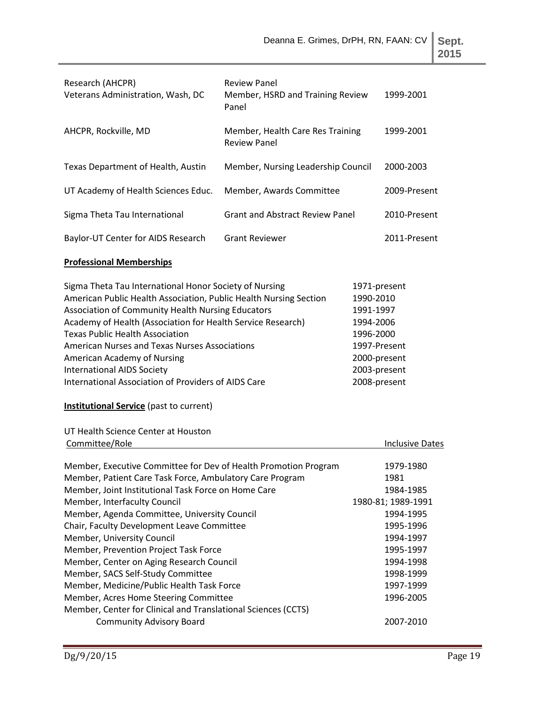| -<br>۰. | $\sim$ |
|---------|--------|
| ×<br>۰. | ۰.     |

| Research (AHCPR)<br>Veterans Administration, Wash, DC                                                                                                                                                                                                                                                                                                                                                                                                                                                                                                                                                                           | <b>Review Panel</b><br>Member, HSRD and Training Review<br>Panel |                                                                                                                                  | 1999-2001                                                                                                                                                    |
|---------------------------------------------------------------------------------------------------------------------------------------------------------------------------------------------------------------------------------------------------------------------------------------------------------------------------------------------------------------------------------------------------------------------------------------------------------------------------------------------------------------------------------------------------------------------------------------------------------------------------------|------------------------------------------------------------------|----------------------------------------------------------------------------------------------------------------------------------|--------------------------------------------------------------------------------------------------------------------------------------------------------------|
| AHCPR, Rockville, MD                                                                                                                                                                                                                                                                                                                                                                                                                                                                                                                                                                                                            | Member, Health Care Res Training<br><b>Review Panel</b>          |                                                                                                                                  | 1999-2001                                                                                                                                                    |
| Texas Department of Health, Austin                                                                                                                                                                                                                                                                                                                                                                                                                                                                                                                                                                                              | Member, Nursing Leadership Council                               |                                                                                                                                  | 2000-2003                                                                                                                                                    |
| UT Academy of Health Sciences Educ.                                                                                                                                                                                                                                                                                                                                                                                                                                                                                                                                                                                             | Member, Awards Committee                                         |                                                                                                                                  | 2009-Present                                                                                                                                                 |
| Sigma Theta Tau International                                                                                                                                                                                                                                                                                                                                                                                                                                                                                                                                                                                                   | <b>Grant and Abstract Review Panel</b>                           |                                                                                                                                  | 2010-Present                                                                                                                                                 |
| Baylor-UT Center for AIDS Research                                                                                                                                                                                                                                                                                                                                                                                                                                                                                                                                                                                              | <b>Grant Reviewer</b>                                            |                                                                                                                                  | 2011-Present                                                                                                                                                 |
| <b>Professional Memberships</b>                                                                                                                                                                                                                                                                                                                                                                                                                                                                                                                                                                                                 |                                                                  |                                                                                                                                  |                                                                                                                                                              |
| Sigma Theta Tau International Honor Society of Nursing<br>American Public Health Association, Public Health Nursing Section<br>Association of Community Health Nursing Educators<br>Academy of Health (Association for Health Service Research)<br><b>Texas Public Health Association</b><br><b>American Nurses and Texas Nurses Associations</b><br>American Academy of Nursing<br><b>International AIDS Society</b><br>International Association of Providers of AIDS Care<br><b>Institutional Service</b> (past to current)<br>UT Health Science Center at Houston                                                           |                                                                  | 1971-present<br>1990-2010<br>1991-1997<br>1994-2006<br>1996-2000<br>1997-Present<br>2000-present<br>2003-present<br>2008-present |                                                                                                                                                              |
| Committee/Role                                                                                                                                                                                                                                                                                                                                                                                                                                                                                                                                                                                                                  |                                                                  |                                                                                                                                  | <b>Inclusive Dates</b>                                                                                                                                       |
| Member, Executive Committee for Dev of Health Promotion Program<br>Member, Patient Care Task Force, Ambulatory Care Program<br>Member, Joint Institutional Task Force on Home Care<br>Member, Interfaculty Council<br>Member, Agenda Committee, University Council<br>Chair, Faculty Development Leave Committee<br>Member, University Council<br>Member, Prevention Project Task Force<br>Member, Center on Aging Research Council<br>Member, SACS Self-Study Committee<br>Member, Medicine/Public Health Task Force<br>Member, Acres Home Steering Committee<br>Member, Center for Clinical and Translational Sciences (CCTS) |                                                                  |                                                                                                                                  | 1979-1980<br>1981<br>1984-1985<br>1980-81; 1989-1991<br>1994-1995<br>1995-1996<br>1994-1997<br>1995-1997<br>1994-1998<br>1998-1999<br>1997-1999<br>1996-2005 |
| <b>Community Advisory Board</b>                                                                                                                                                                                                                                                                                                                                                                                                                                                                                                                                                                                                 |                                                                  |                                                                                                                                  | 2007-2010                                                                                                                                                    |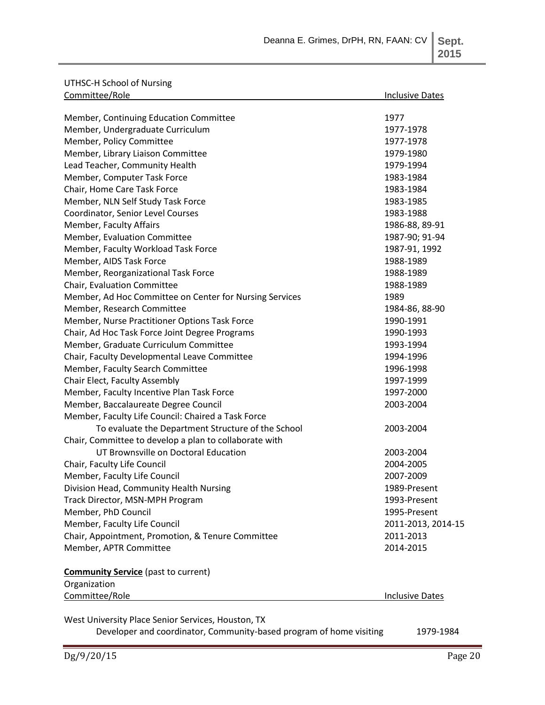UTHSC-H School of Nursing

| Committee/Role                                          | <b>Inclusive Dates</b> |
|---------------------------------------------------------|------------------------|
| Member, Continuing Education Committee                  | 1977                   |
| Member, Undergraduate Curriculum                        | 1977-1978              |
| Member, Policy Committee                                | 1977-1978              |
| Member, Library Liaison Committee                       | 1979-1980              |
| Lead Teacher, Community Health                          | 1979-1994              |
| Member, Computer Task Force                             | 1983-1984              |
| Chair, Home Care Task Force                             | 1983-1984              |
| Member, NLN Self Study Task Force                       | 1983-1985              |
| Coordinator, Senior Level Courses                       | 1983-1988              |
| Member, Faculty Affairs                                 | 1986-88, 89-91         |
| Member, Evaluation Committee                            | 1987-90; 91-94         |
| Member, Faculty Workload Task Force                     | 1987-91, 1992          |
| Member, AIDS Task Force                                 | 1988-1989              |
| Member, Reorganizational Task Force                     | 1988-1989              |
| Chair, Evaluation Committee                             | 1988-1989              |
| Member, Ad Hoc Committee on Center for Nursing Services | 1989                   |
| Member, Research Committee                              | 1984-86, 88-90         |
| Member, Nurse Practitioner Options Task Force           | 1990-1991              |
| Chair, Ad Hoc Task Force Joint Degree Programs          | 1990-1993              |
| Member, Graduate Curriculum Committee                   | 1993-1994              |
| Chair, Faculty Developmental Leave Committee            | 1994-1996              |
| Member, Faculty Search Committee                        | 1996-1998              |
| Chair Elect, Faculty Assembly                           | 1997-1999              |
| Member, Faculty Incentive Plan Task Force               | 1997-2000              |
| Member, Baccalaureate Degree Council                    | 2003-2004              |
| Member, Faculty Life Council: Chaired a Task Force      |                        |
| To evaluate the Department Structure of the School      | 2003-2004              |
| Chair, Committee to develop a plan to collaborate with  |                        |
| UT Brownsville on Doctoral Education                    | 2003-2004              |
| Chair, Faculty Life Council                             | 2004-2005              |
| Member, Faculty Life Council                            | 2007-2009              |
| Division Head, Community Health Nursing                 | 1989-Present           |
| Track Director, MSN-MPH Program                         | 1993-Present           |
| Member, PhD Council                                     | 1995-Present           |
| Member, Faculty Life Council                            | 2011-2013, 2014-15     |
| Chair, Appointment, Promotion, & Tenure Committee       | 2011-2013              |
| Member, APTR Committee                                  | 2014-2015              |
| <b>Community Service</b> (past to current)              |                        |
| Organization                                            |                        |
| Committee/Role                                          | <b>Inclusive Dates</b> |
| Most University Place Conject Convices Houston TV       |                        |

West University Place Senior Services, Houston, TX

Developer and coordinator, Community-based program of home visiting 1979-1984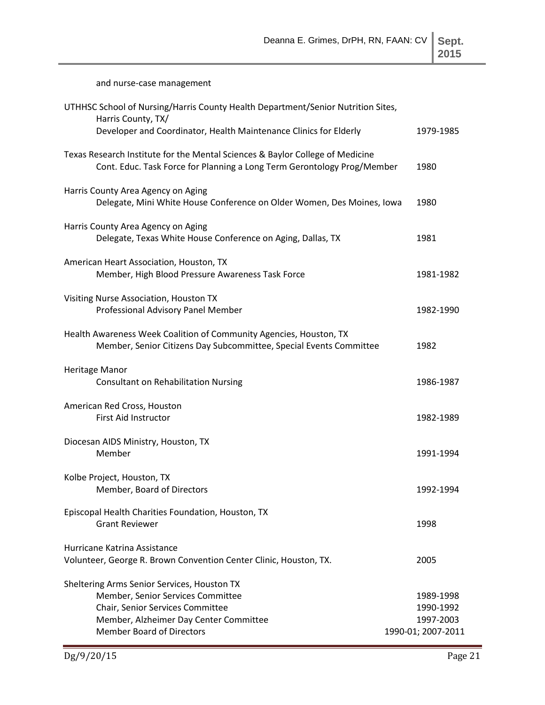| ٠<br>×<br>۰, |   |  |
|--------------|---|--|
| ۰.           | ٧ |  |

and nurse-case management

| UTHHSC School of Nursing/Harris County Health Department/Senior Nutrition Sites,<br>Harris County, TX/                                                                                             |                                                           |
|----------------------------------------------------------------------------------------------------------------------------------------------------------------------------------------------------|-----------------------------------------------------------|
| Developer and Coordinator, Health Maintenance Clinics for Elderly                                                                                                                                  | 1979-1985                                                 |
| Texas Research Institute for the Mental Sciences & Baylor College of Medicine<br>Cont. Educ. Task Force for Planning a Long Term Gerontology Prog/Member                                           | 1980                                                      |
| Harris County Area Agency on Aging<br>Delegate, Mini White House Conference on Older Women, Des Moines, Iowa                                                                                       | 1980                                                      |
| Harris County Area Agency on Aging<br>Delegate, Texas White House Conference on Aging, Dallas, TX                                                                                                  | 1981                                                      |
| American Heart Association, Houston, TX<br>Member, High Blood Pressure Awareness Task Force                                                                                                        | 1981-1982                                                 |
| Visiting Nurse Association, Houston TX<br>Professional Advisory Panel Member                                                                                                                       | 1982-1990                                                 |
| Health Awareness Week Coalition of Community Agencies, Houston, TX<br>Member, Senior Citizens Day Subcommittee, Special Events Committee                                                           | 1982                                                      |
| Heritage Manor<br><b>Consultant on Rehabilitation Nursing</b>                                                                                                                                      | 1986-1987                                                 |
| American Red Cross, Houston<br>First Aid Instructor                                                                                                                                                | 1982-1989                                                 |
| Diocesan AIDS Ministry, Houston, TX<br>Member                                                                                                                                                      | 1991-1994                                                 |
| Kolbe Project, Houston, TX<br>Member, Board of Directors                                                                                                                                           | 1992-1994                                                 |
| Episcopal Health Charities Foundation, Houston, TX<br><b>Grant Reviewer</b>                                                                                                                        | 1998                                                      |
| Hurricane Katrina Assistance<br>Volunteer, George R. Brown Convention Center Clinic, Houston, TX.                                                                                                  | 2005                                                      |
| Sheltering Arms Senior Services, Houston TX<br>Member, Senior Services Committee<br>Chair, Senior Services Committee<br>Member, Alzheimer Day Center Committee<br><b>Member Board of Directors</b> | 1989-1998<br>1990-1992<br>1997-2003<br>1990-01; 2007-2011 |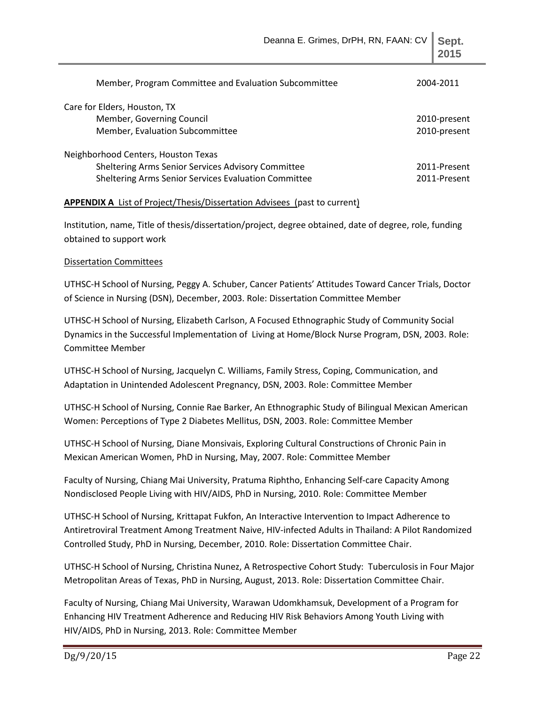| Member, Program Committee and Evaluation Subcommittee | 2004-2011    |
|-------------------------------------------------------|--------------|
| Care for Elders, Houston, TX                          |              |
| Member, Governing Council                             | 2010-present |
| Member, Evaluation Subcommittee                       | 2010-present |
| Neighborhood Centers, Houston Texas                   |              |
| Sheltering Arms Senior Services Advisory Committee    | 2011-Present |
| Sheltering Arms Senior Services Evaluation Committee  | 2011-Present |

## **APPENDIX A** List of Project/Thesis/Dissertation Advisees (past to current)

Institution, name, Title of thesis/dissertation/project, degree obtained, date of degree, role, funding obtained to support work

## Dissertation Committees

UTHSC-H School of Nursing, Peggy A. Schuber, Cancer Patients' Attitudes Toward Cancer Trials, Doctor of Science in Nursing (DSN), December, 2003. Role: Dissertation Committee Member

UTHSC-H School of Nursing, Elizabeth Carlson, A Focused Ethnographic Study of Community Social Dynamics in the Successful Implementation of Living at Home/Block Nurse Program, DSN, 2003. Role: Committee Member

UTHSC-H School of Nursing, Jacquelyn C. Williams, Family Stress, Coping, Communication, and Adaptation in Unintended Adolescent Pregnancy, DSN, 2003. Role: Committee Member

UTHSC-H School of Nursing, Connie Rae Barker, An Ethnographic Study of Bilingual Mexican American Women: Perceptions of Type 2 Diabetes Mellitus, DSN, 2003. Role: Committee Member

UTHSC-H School of Nursing, Diane Monsivais, Exploring Cultural Constructions of Chronic Pain in Mexican American Women, PhD in Nursing, May, 2007. Role: Committee Member

Faculty of Nursing, Chiang Mai University, Pratuma Riphtho, Enhancing Self-care Capacity Among Nondisclosed People Living with HIV/AIDS, PhD in Nursing, 2010. Role: Committee Member

UTHSC-H School of Nursing, Krittapat Fukfon, An Interactive Intervention to Impact Adherence to Antiretroviral Treatment Among Treatment Naive, HIV-infected Adults in Thailand: A Pilot Randomized Controlled Study, PhD in Nursing, December, 2010. Role: Dissertation Committee Chair.

UTHSC-H School of Nursing, Christina Nunez, A Retrospective Cohort Study: Tuberculosis in Four Major Metropolitan Areas of Texas, PhD in Nursing, August, 2013. Role: Dissertation Committee Chair.

Faculty of Nursing, Chiang Mai University, Warawan Udomkhamsuk, Development of a Program for Enhancing HIV Treatment Adherence and Reducing HIV Risk Behaviors Among Youth Living with HIV/AIDS, PhD in Nursing, 2013. Role: Committee Member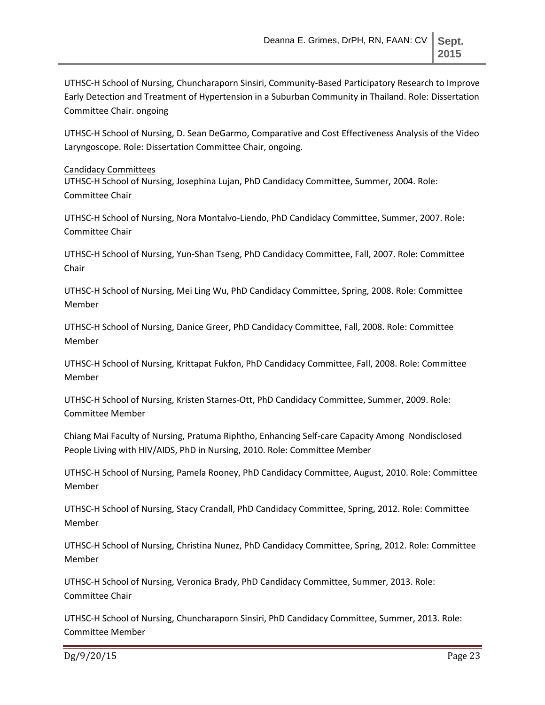UTHSC-H School of Nursing, Chuncharaporn Sinsiri, Community-Based Participatory Research to Improve Early Detection and Treatment of Hypertension in a Suburban Community in Thailand. Role: Dissertation Committee Chair. ongoing

UTHSC-H School of Nursing, D. Sean DeGarmo, Comparative and Cost Effectiveness Analysis of the Video Laryngoscope. Role: Dissertation Committee Chair, ongoing.

#### Candidacy Committees

UTHSC-H School of Nursing, Josephina Lujan, PhD Candidacy Committee, Summer, 2004. Role: Committee Chair

UTHSC-H School of Nursing, Nora Montalvo-Liendo, PhD Candidacy Committee, Summer, 2007. Role: Committee Chair

UTHSC-H School of Nursing, Yun-Shan Tseng, PhD Candidacy Committee, Fall, 2007. Role: Committee Chair

UTHSC-H School of Nursing, Mei Ling Wu, PhD Candidacy Committee, Spring, 2008. Role: Committee Member

UTHSC-H School of Nursing, Danice Greer, PhD Candidacy Committee, Fall, 2008. Role: Committee Member

UTHSC-H School of Nursing, Krittapat Fukfon, PhD Candidacy Committee, Fall, 2008. Role: Committee Member

UTHSC-H School of Nursing, Kristen Starnes-Ott, PhD Candidacy Committee, Summer, 2009. Role: Committee Member

Chiang Mai Faculty of Nursing, Pratuma Riphtho, Enhancing Self-care Capacity Among Nondisclosed People Living with HIV/AIDS, PhD in Nursing, 2010. Role: Committee Member

UTHSC-H School of Nursing, Pamela Rooney, PhD Candidacy Committee, August, 2010. Role: Committee Member

UTHSC-H School of Nursing, Stacy Crandall, PhD Candidacy Committee, Spring, 2012. Role: Committee Member

UTHSC-H School of Nursing, Christina Nunez, PhD Candidacy Committee, Spring, 2012. Role: Committee Member

UTHSC-H School of Nursing, Veronica Brady, PhD Candidacy Committee, Summer, 2013. Role: Committee Chair

UTHSC-H School of Nursing, Chuncharaporn Sinsiri, PhD Candidacy Committee, Summer, 2013. Role: Committee Member